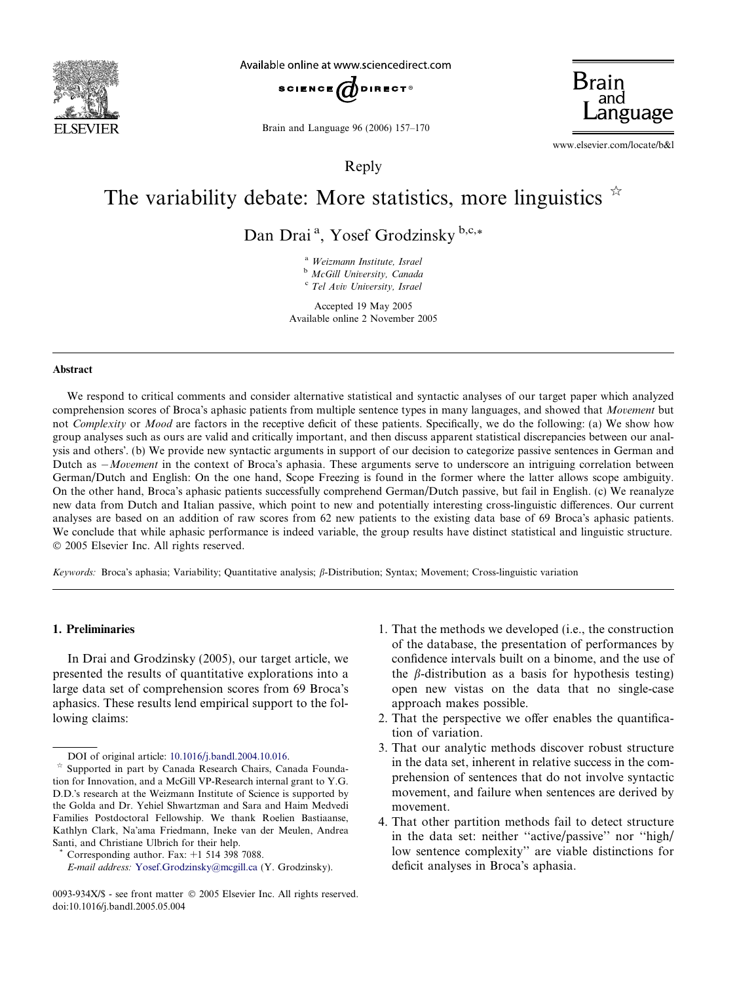

Available online at www.sciencedirect.com



Brain and Language 96 (2006) 157–170

www.elsevier.com/locate/b&l

Brain

# The variability debate: More statistics, more linguistics  $\mathbb{R}$

Reply

Dan Drai<sup>a</sup>, Yosef Grodzinsky<sup>b,c,\*</sup>

<sup>a</sup> Weizmann Institute, Israel <sup>b</sup> McGill University, Canada <sup>c</sup> Tel Aviv University, Israel

Accepted 19 May 2005 Available online 2 November 2005

#### Abstract

We respond to critical comments and consider alternative statistical and syntactic analyses of our target paper which analyzed comprehension scores of Broca's aphasic patients from multiple sentence types in many languages, and showed that Movement but not Complexity or Mood are factors in the receptive deficit of these patients. Specifically, we do the following: (a) We show how group analyses such as ours are valid and critically important, and then discuss apparent statistical discrepancies between our analysis and others. (b) We provide new syntactic arguments in support of our decision to categorize passive sentences in German and Dutch as  $-Movement$  in the context of Broca's aphasia. These arguments serve to underscore an intriguing correlation between German/Dutch and English: On the one hand, Scope Freezing is found in the former where the latter allows scope ambiguity. On the other hand, Broca's aphasic patients successfully comprehend German/Dutch passive, but fail in English. (c) We reanalyze new data from Dutch and Italian passive, which point to new and potentially interesting cross-linguistic differences. Our current analyses are based on an addition of raw scores from 62 new patients to the existing data base of 69 Broca's aphasic patients. We conclude that while aphasic performance is indeed variable, the group results have distinct statistical and linguistic structure. 2005 Elsevier Inc. All rights reserved.

Keywords: Broca's aphasia; Variability; Quantitative analysis;  $\beta$ -Distribution; Syntax; Movement; Cross-linguistic variation

# 1. Preliminaries

In Drai and Grodzinsky (2005), our target article, we presented the results of quantitative explorations into a large data set of comprehension scores from 69 Broca's aphasics. These results lend empirical support to the following claims:

- 1. That the methods we developed (i.e., the construction of the database, the presentation of performances by confidence intervals built on a binome, and the use of the  $\beta$ -distribution as a basis for hypothesis testing) open new vistas on the data that no single-case approach makes possible.
- 2. That the perspective we offer enables the quantification of variation.
- 3. That our analytic methods discover robust structure in the data set, inherent in relative success in the comprehension of sentences that do not involve syntactic movement, and failure when sentences are derived by movement.
- 4. That other partition methods fail to detect structure in the data set: neither ''active/passive'' nor ''high/ low sentence complexity'' are viable distinctions for deficit analyses in Broca's aphasia.

DOI of original article: [10.1016/j.bandl.2004.10.016.](http://dx.doi.org/10.1016/j.bandl.2004.10.016)<br>Supported in part by Canada Research Chairs, Canada Foundation for Innovation, and a McGill VP-Research internal grant to Y.G. D.D.'s research at the Weizmann Institute of Science is supported by the Golda and Dr. Yehiel Shwartzman and Sara and Haim Medvedi Families Postdoctoral Fellowship. We thank Roelien Bastiaanse, Kathlyn Clark, Na'ama Friedmann, Ineke van der Meulen, Andrea Santi, and Christiane Ulbrich for their help.

Corresponding author. Fax:  $+1$  514 398 7088.

E-mail address: [Yosef.Grodzinsky@mcgill.ca](mailto:Yosef.Grodzinsky@mcgill.ca) (Y. Grodzinsky).

<sup>0093-934</sup>X/\$ - see front matter © 2005 Elsevier Inc. All rights reserved. doi:10.1016/j.bandl.2005.05.004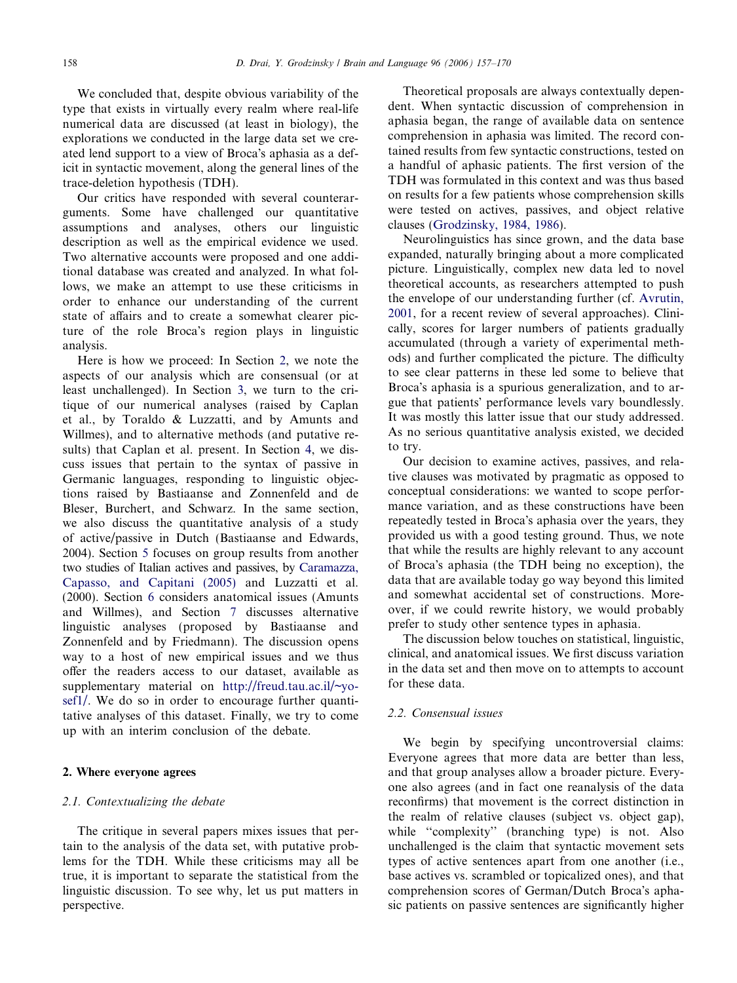We concluded that, despite obvious variability of the type that exists in virtually every realm where real-life numerical data are discussed (at least in biology), the explorations we conducted in the large data set we created lend support to a view of Broca's aphasia as a deficit in syntactic movement, along the general lines of the trace-deletion hypothesis (TDH).

Our critics have responded with several counterarguments. Some have challenged our quantitative assumptions and analyses, others our linguistic description as well as the empirical evidence we used. Two alternative accounts were proposed and one additional database was created and analyzed. In what follows, we make an attempt to use these criticisms in order to enhance our understanding of the current state of affairs and to create a somewhat clearer picture of the role Broca's region plays in linguistic analysis.

Here is how we proceed: In Section 2, we note the aspects of our analysis which are consensual (or at least unchallenged). In Section [3,](#page-2-0) we turn to the critique of our numerical analyses (raised by Caplan et al., by Toraldo & Luzzatti, and by Amunts and Willmes), and to alternative methods (and putative results) that Caplan et al. present. In Section [4,](#page-5-0) we discuss issues that pertain to the syntax of passive in Germanic languages, responding to linguistic objections raised by Bastiaanse and Zonnenfeld and de Bleser, Burchert, and Schwarz. In the same section, we also discuss the quantitative analysis of a study of active/passive in Dutch (Bastiaanse and Edwards, 2004). Section [5](#page-8-0) focuses on group results from another two studies of Italian actives and passives, by [Caramazza,](#page-12-0) [Capasso, and Capitani \(2005\)](#page-12-0) and Luzzatti et al. (2000). Section [6](#page-9-0) considers anatomical issues (Amunts and Willmes), and Section [7](#page-10-0) discusses alternative linguistic analyses (proposed by Bastiaanse and Zonnenfeld and by Friedmann). The discussion opens way to a host of new empirical issues and we thus offer the readers access to our dataset, available as supplementary material on [http://freud.tau.ac.il/~yo](http://freud.tau.ac.il/~yosef1/)[sef1/.](http://freud.tau.ac.il/~yosef1/) We do so in order to encourage further quantitative analyses of this dataset. Finally, we try to come up with an interim conclusion of the debate.

### 2. Where everyone agrees

## 2.1. Contextualizing the debate

The critique in several papers mixes issues that pertain to the analysis of the data set, with putative problems for the TDH. While these criticisms may all be true, it is important to separate the statistical from the linguistic discussion. To see why, let us put matters in perspective.

Theoretical proposals are always contextually dependent. When syntactic discussion of comprehension in aphasia began, the range of available data on sentence comprehension in aphasia was limited. The record contained results from few syntactic constructions, tested on a handful of aphasic patients. The first version of the TDH was formulated in this context and was thus based on results for a few patients whose comprehension skills were tested on actives, passives, and object relative clauses ([Grodzinsky, 1984, 1986\)](#page-12-0).

Neurolinguistics has since grown, and the data base expanded, naturally bringing about a more complicated picture. Linguistically, complex new data led to novel theoretical accounts, as researchers attempted to push the envelope of our understanding further (cf. [Avrutin,](#page-12-0) [2001,](#page-12-0) for a recent review of several approaches). Clinically, scores for larger numbers of patients gradually accumulated (through a variety of experimental methods) and further complicated the picture. The difficulty to see clear patterns in these led some to believe that Broca's aphasia is a spurious generalization, and to argue that patients' performance levels vary boundlessly. It was mostly this latter issue that our study addressed. As no serious quantitative analysis existed, we decided to try.

Our decision to examine actives, passives, and relative clauses was motivated by pragmatic as opposed to conceptual considerations: we wanted to scope performance variation, and as these constructions have been repeatedly tested in Broca's aphasia over the years, they provided us with a good testing ground. Thus, we note that while the results are highly relevant to any account of Broca's aphasia (the TDH being no exception), the data that are available today go way beyond this limited and somewhat accidental set of constructions. Moreover, if we could rewrite history, we would probably prefer to study other sentence types in aphasia.

The discussion below touches on statistical, linguistic, clinical, and anatomical issues. We first discuss variation in the data set and then move on to attempts to account for these data.

# 2.2. Consensual issues

We begin by specifying uncontroversial claims: Everyone agrees that more data are better than less, and that group analyses allow a broader picture. Everyone also agrees (and in fact one reanalysis of the data reconfirms) that movement is the correct distinction in the realm of relative clauses (subject vs. object gap), while "complexity" (branching type) is not. Also unchallenged is the claim that syntactic movement sets types of active sentences apart from one another (i.e., base actives vs. scrambled or topicalized ones), and that comprehension scores of German/Dutch Broca's aphasic patients on passive sentences are significantly higher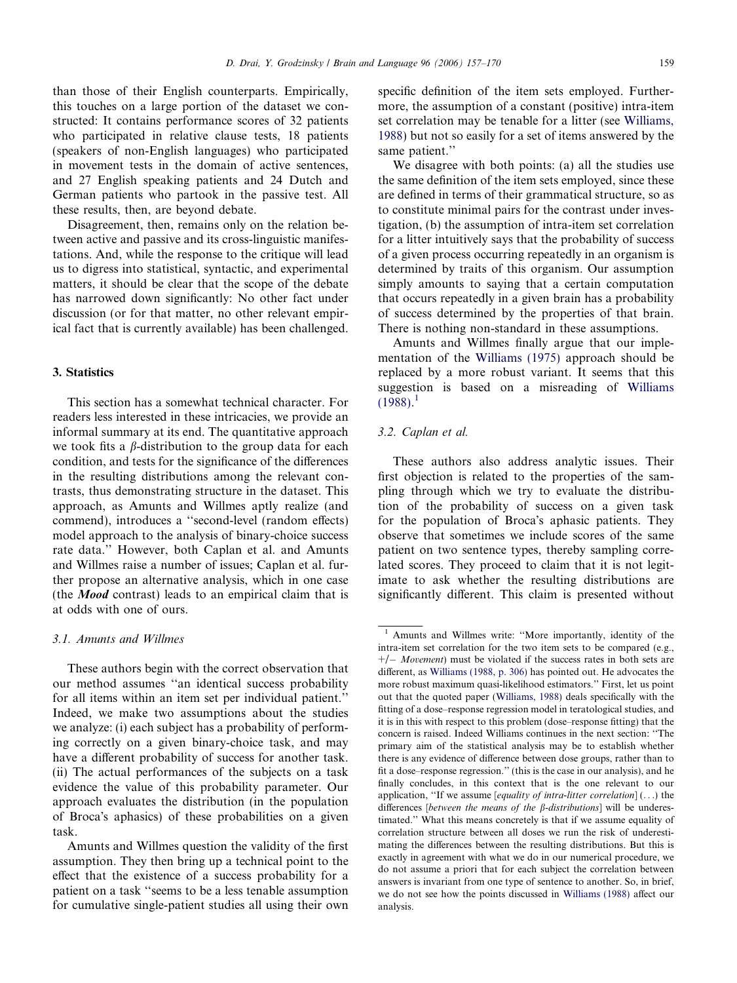<span id="page-2-0"></span>than those of their English counterparts. Empirically, this touches on a large portion of the dataset we constructed: It contains performance scores of 32 patients who participated in relative clause tests, 18 patients (speakers of non-English languages) who participated in movement tests in the domain of active sentences, and 27 English speaking patients and 24 Dutch and German patients who partook in the passive test. All these results, then, are beyond debate.

Disagreement, then, remains only on the relation between active and passive and its cross-linguistic manifestations. And, while the response to the critique will lead us to digress into statistical, syntactic, and experimental matters, it should be clear that the scope of the debate has narrowed down significantly: No other fact under discussion (or for that matter, no other relevant empirical fact that is currently available) has been challenged.

#### 3. Statistics

This section has a somewhat technical character. For readers less interested in these intricacies, we provide an informal summary at its end. The quantitative approach we took fits a  $\beta$ -distribution to the group data for each condition, and tests for the significance of the differences in the resulting distributions among the relevant contrasts, thus demonstrating structure in the dataset. This approach, as Amunts and Willmes aptly realize (and commend), introduces a ''second-level (random effects) model approach to the analysis of binary-choice success rate data.'' However, both Caplan et al. and Amunts and Willmes raise a number of issues; Caplan et al. further propose an alternative analysis, which in one case (the Mood contrast) leads to an empirical claim that is at odds with one of ours.

## 3.1. Amunts and Willmes

These authors begin with the correct observation that our method assumes ''an identical success probability for all items within an item set per individual patient.'' Indeed, we make two assumptions about the studies we analyze: (i) each subject has a probability of performing correctly on a given binary-choice task, and may have a different probability of success for another task. (ii) The actual performances of the subjects on a task evidence the value of this probability parameter. Our approach evaluates the distribution (in the population of Broca's aphasics) of these probabilities on a given task.

Amunts and Willmes question the validity of the first assumption. They then bring up a technical point to the effect that the existence of a success probability for a patient on a task ''seems to be a less tenable assumption for cumulative single-patient studies all using their own specific definition of the item sets employed. Furthermore, the assumption of a constant (positive) intra-item set correlation may be tenable for a litter (see [Williams,](#page-13-0) [1988](#page-13-0)) but not so easily for a set of items answered by the same patient.''

We disagree with both points: (a) all the studies use the same definition of the item sets employed, since these are defined in terms of their grammatical structure, so as to constitute minimal pairs for the contrast under investigation, (b) the assumption of intra-item set correlation for a litter intuitively says that the probability of success of a given process occurring repeatedly in an organism is determined by traits of this organism. Our assumption simply amounts to saying that a certain computation that occurs repeatedly in a given brain has a probability of success determined by the properties of that brain. There is nothing non-standard in these assumptions.

Amunts and Willmes finally argue that our implementation of the [Williams \(1975\)](#page-13-0) approach should be replaced by a more robust variant. It seems that this suggestion is based on a misreading of [Williams](#page-13-0)  $(1988)^1$  $(1988)^1$ 

# 3.2. Caplan et al.

These authors also address analytic issues. Their first objection is related to the properties of the sampling through which we try to evaluate the distribution of the probability of success on a given task for the population of Broca's aphasic patients. They observe that sometimes we include scores of the same patient on two sentence types, thereby sampling correlated scores. They proceed to claim that it is not legitimate to ask whether the resulting distributions are significantly different. This claim is presented without

<sup>1</sup> Amunts and Willmes write: ''More importantly, identity of the intra-item set correlation for the two item sets to be compared (e.g.,  $+/-$  Movement) must be violated if the success rates in both sets are different, as [Williams \(1988, p. 306\)](#page-13-0) has pointed out. He advocates the more robust maximum quasi-likelihood estimators.'' First, let us point out that the quoted paper ([Williams, 1988\)](#page-13-0) deals specifically with the fitting of a dose–response regression model in teratological studies, and it is in this with respect to this problem (dose–response fitting) that the concern is raised. Indeed Williams continues in the next section: ''The primary aim of the statistical analysis may be to establish whether there is any evidence of difference between dose groups, rather than to fit a dose–response regression.'' (this is the case in our analysis), and he finally concludes, in this context that is the one relevant to our application, "If we assume [equality of intra-litter correlation]  $(...)$  the differences [between the means of the  $\beta$ -distributions] will be underestimated.'' What this means concretely is that if we assume equality of correlation structure between all doses we run the risk of underestimating the differences between the resulting distributions. But this is exactly in agreement with what we do in our numerical procedure, we do not assume a priori that for each subject the correlation between answers is invariant from one type of sentence to another. So, in brief, we do not see how the points discussed in [Williams \(1988\)](#page-13-0) affect our analysis.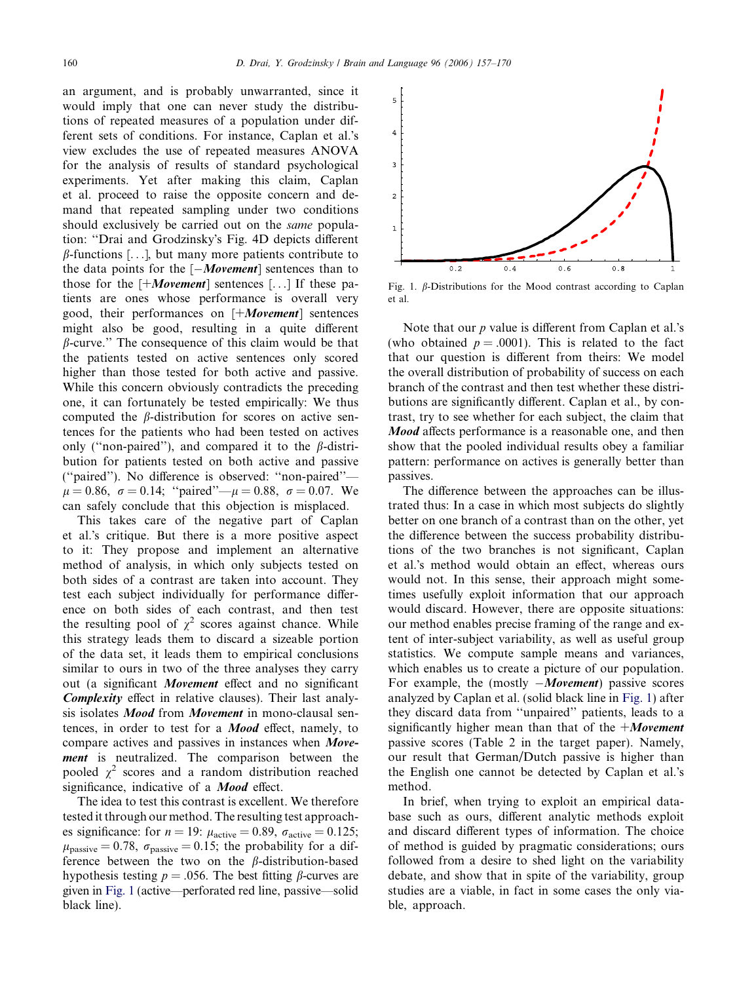an argument, and is probably unwarranted, since it would imply that one can never study the distributions of repeated measures of a population under different sets of conditions. For instance, Caplan et al.'s view excludes the use of repeated measures ANOVA for the analysis of results of standard psychological experiments. Yet after making this claim, Caplan et al. proceed to raise the opposite concern and demand that repeated sampling under two conditions should exclusively be carried out on the same population: ''Drai and Grodzinskys Fig. 4D depicts different  $\beta$ -functions [...], but many more patients contribute to the data points for the  $[-Movement]$  sentences than to those for the  $[+Movement]$  sentences [...] If these patients are ones whose performance is overall very good, their performances on  $[+Movement]$  sentences might also be good, resulting in a quite different  $\beta$ -curve." The consequence of this claim would be that the patients tested on active sentences only scored higher than those tested for both active and passive. While this concern obviously contradicts the preceding one, it can fortunately be tested empirically: We thus computed the  $\beta$ -distribution for scores on active sentences for the patients who had been tested on actives only ("non-paired"), and compared it to the  $\beta$ -distribution for patients tested on both active and passive (''paired''). No difference is observed: ''non-paired''—  $\mu = 0.86, \ \sigma = 0.14; \$ "paired"— $\mu = 0.88, \ \sigma = 0.07.$  We can safely conclude that this objection is misplaced.

This takes care of the negative part of Caplan et al.'s critique. But there is a more positive aspect to it: They propose and implement an alternative method of analysis, in which only subjects tested on both sides of a contrast are taken into account. They test each subject individually for performance difference on both sides of each contrast, and then test the resulting pool of  $\chi^2$  scores against chance. While this strategy leads them to discard a sizeable portion of the data set, it leads them to empirical conclusions similar to ours in two of the three analyses they carry out (a significant Movement effect and no significant Complexity effect in relative clauses). Their last analysis isolates *Mood* from *Movement* in mono-clausal sentences, in order to test for a Mood effect, namely, to compare actives and passives in instances when Movement is neutralized. The comparison between the pooled  $\gamma^2$  scores and a random distribution reached significance, indicative of a *Mood* effect.

The idea to test this contrast is excellent. We therefore tested it through our method. The resulting test approaches significance: for  $n = 19$ :  $\mu_{\text{active}} = 0.89$ ,  $\sigma_{\text{active}} = 0.125$ ;  $\mu_{\text{passive}} = 0.78$ ,  $\sigma_{\text{passive}} = 0.15$ ; the probability for a difference between the two on the  $\beta$ -distribution-based hypothesis testing  $p = .056$ . The best fitting  $\beta$ -curves are given in Fig. 1 (active—perforated red line, passive—solid black line).



Fig. 1.  $\beta$ -Distributions for the Mood contrast according to Caplan et al.

Note that our  $p$  value is different from Caplan et al.'s (who obtained  $p = .0001$ ). This is related to the fact that our question is different from theirs: We model the overall distribution of probability of success on each branch of the contrast and then test whether these distributions are significantly different. Caplan et al., by contrast, try to see whether for each subject, the claim that Mood affects performance is a reasonable one, and then show that the pooled individual results obey a familiar pattern: performance on actives is generally better than passives.

The difference between the approaches can be illustrated thus: In a case in which most subjects do slightly better on one branch of a contrast than on the other, yet the difference between the success probability distributions of the two branches is not significant, Caplan et al.'s method would obtain an effect, whereas ours would not. In this sense, their approach might sometimes usefully exploit information that our approach would discard. However, there are opposite situations: our method enables precise framing of the range and extent of inter-subject variability, as well as useful group statistics. We compute sample means and variances, which enables us to create a picture of our population. For example, the (mostly  $-Movement$ ) passive scores analyzed by Caplan et al. (solid black line in Fig. 1) after they discard data from ''unpaired'' patients, leads to a significantly higher mean than that of the  $+Movement$ passive scores (Table 2 in the target paper). Namely, our result that German/Dutch passive is higher than the English one cannot be detected by Caplan et al.'s method.

In brief, when trying to exploit an empirical database such as ours, different analytic methods exploit and discard different types of information. The choice of method is guided by pragmatic considerations; ours followed from a desire to shed light on the variability debate, and show that in spite of the variability, group studies are a viable, in fact in some cases the only viable, approach.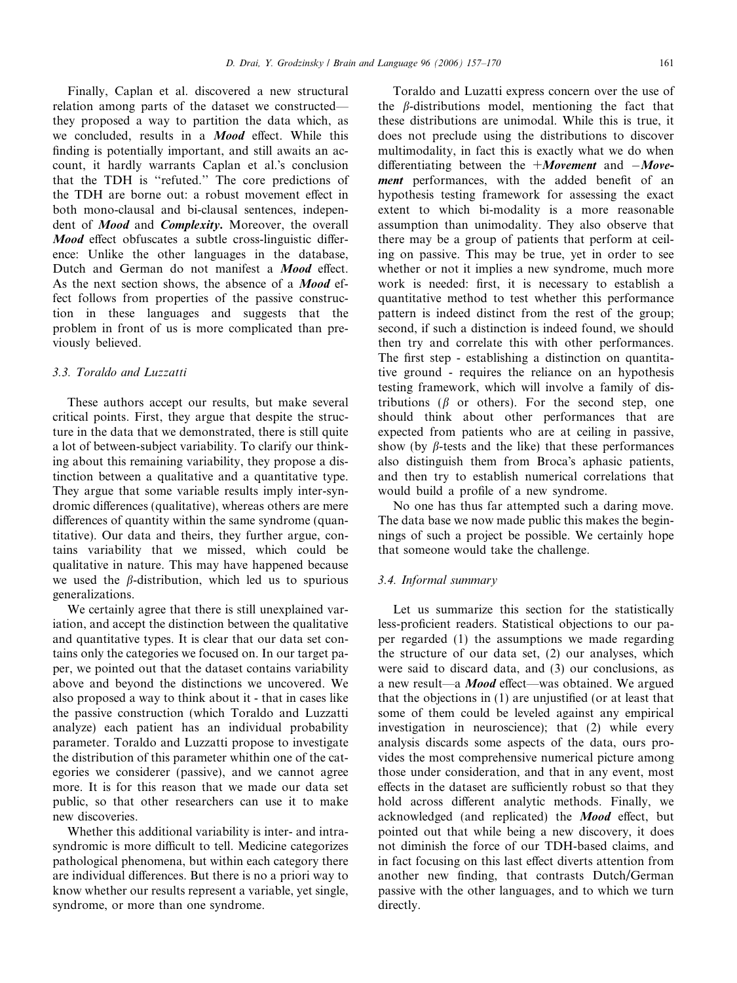Finally, Caplan et al. discovered a new structural relation among parts of the dataset we constructed they proposed a way to partition the data which, as we concluded, results in a **Mood** effect. While this finding is potentially important, and still awaits an account, it hardly warrants Caplan et al.'s conclusion that the TDH is ''refuted.'' The core predictions of the TDH are borne out: a robust movement effect in both mono-clausal and bi-clausal sentences, independent of Mood and Complexity. Moreover, the overall Mood effect obfuscates a subtle cross-linguistic difference: Unlike the other languages in the database, Dutch and German do not manifest a *Mood* effect. As the next section shows, the absence of a *Mood* effect follows from properties of the passive construction in these languages and suggests that the problem in front of us is more complicated than previously believed.

# 3.3. Toraldo and Luzzatti

These authors accept our results, but make several critical points. First, they argue that despite the structure in the data that we demonstrated, there is still quite a lot of between-subject variability. To clarify our thinking about this remaining variability, they propose a distinction between a qualitative and a quantitative type. They argue that some variable results imply inter-syndromic differences (qualitative), whereas others are mere differences of quantity within the same syndrome (quantitative). Our data and theirs, they further argue, contains variability that we missed, which could be qualitative in nature. This may have happened because we used the  $\beta$ -distribution, which led us to spurious generalizations.

We certainly agree that there is still unexplained variation, and accept the distinction between the qualitative and quantitative types. It is clear that our data set contains only the categories we focused on. In our target paper, we pointed out that the dataset contains variability above and beyond the distinctions we uncovered. We also proposed a way to think about it - that in cases like the passive construction (which Toraldo and Luzzatti analyze) each patient has an individual probability parameter. Toraldo and Luzzatti propose to investigate the distribution of this parameter whithin one of the categories we considerer (passive), and we cannot agree more. It is for this reason that we made our data set public, so that other researchers can use it to make new discoveries.

Whether this additional variability is inter- and intrasyndromic is more difficult to tell. Medicine categorizes pathological phenomena, but within each category there are individual differences. But there is no a priori way to know whether our results represent a variable, yet single, syndrome, or more than one syndrome.

Toraldo and Luzatti express concern over the use of the  $\beta$ -distributions model, mentioning the fact that these distributions are unimodal. While this is true, it does not preclude using the distributions to discover multimodality, in fact this is exactly what we do when differentiating between the  $+Movement$  and  $-Move$ ment performances, with the added benefit of an hypothesis testing framework for assessing the exact extent to which bi-modality is a more reasonable assumption than unimodality. They also observe that there may be a group of patients that perform at ceiling on passive. This may be true, yet in order to see whether or not it implies a new syndrome, much more work is needed: first, it is necessary to establish a quantitative method to test whether this performance pattern is indeed distinct from the rest of the group; second, if such a distinction is indeed found, we should then try and correlate this with other performances. The first step - establishing a distinction on quantitative ground - requires the reliance on an hypothesis testing framework, which will involve a family of distributions ( $\beta$  or others). For the second step, one should think about other performances that are expected from patients who are at ceiling in passive, show (by  $\beta$ -tests and the like) that these performances also distinguish them from Broca's aphasic patients, and then try to establish numerical correlations that would build a profile of a new syndrome.

No one has thus far attempted such a daring move. The data base we now made public this makes the beginnings of such a project be possible. We certainly hope that someone would take the challenge.

# 3.4. Informal summary

Let us summarize this section for the statistically less-proficient readers. Statistical objections to our paper regarded (1) the assumptions we made regarding the structure of our data set, (2) our analyses, which were said to discard data, and (3) our conclusions, as a new result—a Mood effect—was obtained. We argued that the objections in (1) are unjustified (or at least that some of them could be leveled against any empirical investigation in neuroscience); that (2) while every analysis discards some aspects of the data, ours provides the most comprehensive numerical picture among those under consideration, and that in any event, most effects in the dataset are sufficiently robust so that they hold across different analytic methods. Finally, we acknowledged (and replicated) the Mood effect, but pointed out that while being a new discovery, it does not diminish the force of our TDH-based claims, and in fact focusing on this last effect diverts attention from another new finding, that contrasts Dutch/German passive with the other languages, and to which we turn directly.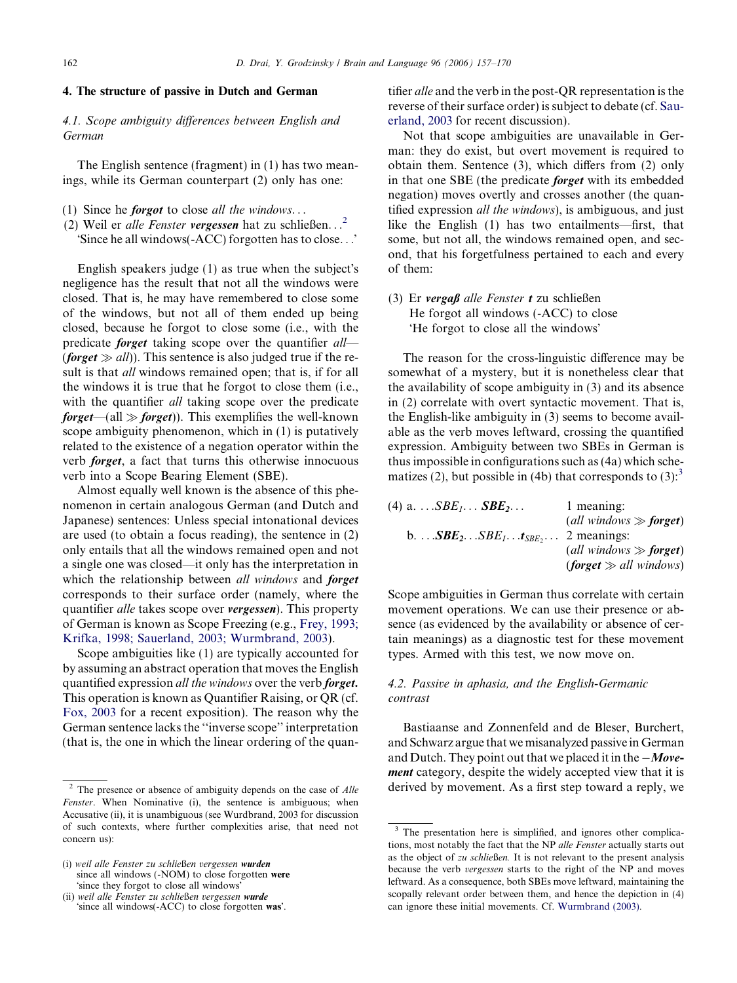## <span id="page-5-0"></span>4. The structure of passive in Dutch and German

# 4.1. Scope ambiguity differences between English and German

The English sentence (fragment) in (1) has two meanings, while its German counterpart (2) only has one:

- (1) Since he **forgot** to close all the windows...
- (2) Weil er *alle Fenster vergessen* hat zu schließen...<sup>2</sup> -Since he all windows(-ACC) forgotten has to close...

English speakers judge  $(1)$  as true when the subject's negligence has the result that not all the windows were closed. That is, he may have remembered to close some of the windows, but not all of them ended up being closed, because he forgot to close some (i.e., with the predicate forget taking scope over the quantifier all— (forget  $\gg$  all)). This sentence is also judged true if the result is that *all* windows remained open; that is, if for all the windows it is true that he forgot to close them (i.e., with the quantifier *all* taking scope over the predicate *forget*—(all  $\gg$  *forget*)). This exemplifies the well-known scope ambiguity phenomenon, which in (1) is putatively related to the existence of a negation operator within the verb forget, a fact that turns this otherwise innocuous verb into a Scope Bearing Element (SBE).

Almost equally well known is the absence of this phenomenon in certain analogous German (and Dutch and Japanese) sentences: Unless special intonational devices are used (to obtain a focus reading), the sentence in (2) only entails that all the windows remained open and not a single one was closed—it only has the interpretation in which the relationship between all windows and **forget** corresponds to their surface order (namely, where the quantifier *alle* takes scope over *vergessen*). This property of German is known as Scope Freezing (e.g., [Frey, 1993;](#page-12-0) [Krifka, 1998; Sauerland, 2003; Wurmbrand, 2003\)](#page-12-0).

Scope ambiguities like (1) are typically accounted for by assuming an abstract operation that moves the English quantified expression all the windows over the verb forget. This operation is known as Quantifier Raising, or QR (cf. [Fox, 2003](#page-12-0) for a recent exposition). The reason why the German sentence lacks the ''inverse scope'' interpretation (that is, the one in which the linear ordering of the quan-

(i) weil alle Fenster zu schließen vergessen wurden since all windows (-NOM) to close forgotten were -since they forgot to close all windows

(ii) weil alle Fenster zu schließen vergessen wurde 'since all windows(-ACC) to close forgotten was'. tifier alle and the verb in the post-QR representation is the reverse of their surface order) is subject to debate (cf. [Sau](#page-12-0)[erland, 2003](#page-12-0) for recent discussion).

Not that scope ambiguities are unavailable in German: they do exist, but overt movement is required to obtain them. Sentence (3), which differs from (2) only in that one SBE (the predicate forget with its embedded negation) moves overtly and crosses another (the quantified expression all the windows), is ambiguous, and just like the English (1) has two entailments—first, that some, but not all, the windows remained open, and second, that his forgetfulness pertained to each and every of them:

# (3) Er vergaß alle Fenster  $t$  zu schließen He forgot all windows (-ACC) to close -He forgot to close all the windows

The reason for the cross-linguistic difference may be somewhat of a mystery, but it is nonetheless clear that the availability of scope ambiguity in (3) and its absence in (2) correlate with overt syntactic movement. That is, the English-like ambiguity in (3) seems to become available as the verb moves leftward, crossing the quantified expression. Ambiguity between two SBEs in German is thus impossible in configurations such as (4a) which schematizes (2), but possible in (4b) that corresponds to  $(3)$ :<sup>3</sup>

| (4) a. $SBE_1SBE_2$                       | 1 meaning:                 |
|-------------------------------------------|----------------------------|
|                                           | (all windows $\gg$ forget) |
| b $SBE_2$ $SBE_1$ $t_{SBE_2}$ 2 meanings: |                            |
|                                           | (all windows $\gg$ forget) |
|                                           | (forget $\gg$ all windows) |

Scope ambiguities in German thus correlate with certain movement operations. We can use their presence or absence (as evidenced by the availability or absence of certain meanings) as a diagnostic test for these movement types. Armed with this test, we now move on.

# 4.2. Passive in aphasia, and the English-Germanic contrast

Bastiaanse and Zonnenfeld and de Bleser, Burchert, and Schwarz argue that we misanalyzed passive in German and Dutch. They point out that we placed it in the  $-Move$ ment category, despite the widely accepted view that it is  $\frac{2}{3}$  The presence or absence of ambiguity depends on the case of Alle derived by movement. As a first step toward a reply, we

Fenster. When Nominative (i), the sentence is ambiguous; when Accusative (ii), it is unambiguous (see Wurdbrand, 2003 for discussion of such contexts, where further complexities arise, that need not concern us):

<sup>&</sup>lt;sup>3</sup> The presentation here is simplified, and ignores other complications, most notably the fact that the NP alle Fenster actually starts out as the object of zu schließen. It is not relevant to the present analysis because the verb vergessen starts to the right of the NP and moves leftward. As a consequence, both SBEs move leftward, maintaining the scopally relevant order between them, and hence the depiction in (4) can ignore these initial movements. Cf. [Wurmbrand \(2003\).](#page-13-0)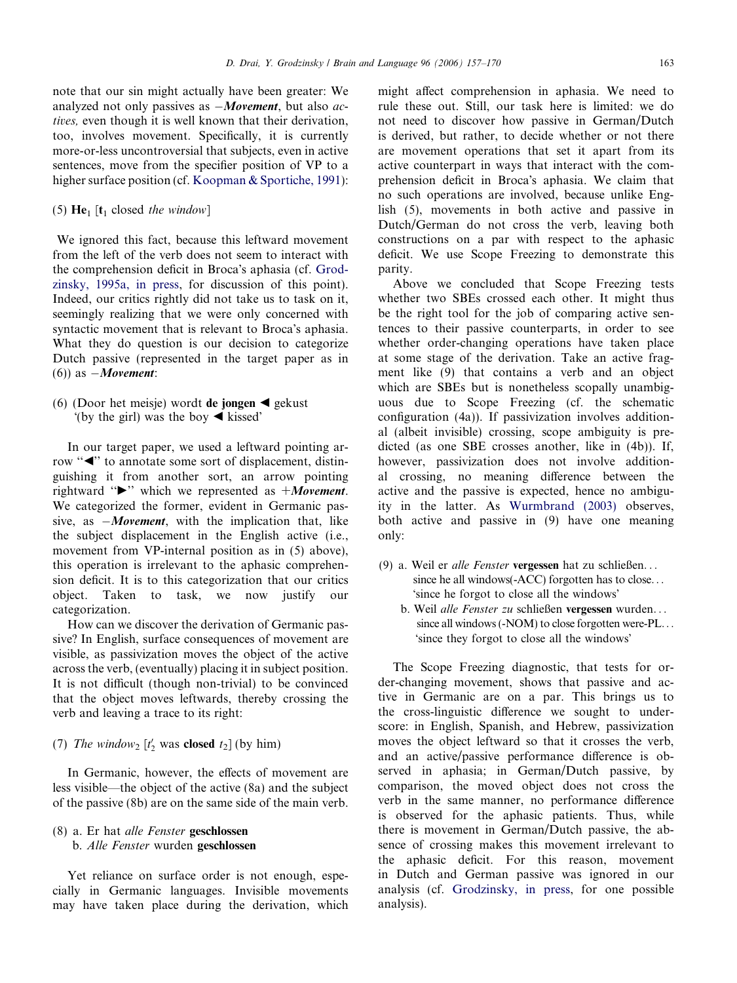note that our sin might actually have been greater: We analyzed not only passives as  $-Movement$ , but also actives, even though it is well known that their derivation, too, involves movement. Specifically, it is currently more-or-less uncontroversial that subjects, even in active sentences, move from the specifier position of VP to a higher surface position (cf. [Koopman & Sportiche, 1991\)](#page-12-0):

# (5) He<sub>1</sub> [t<sub>1</sub> closed the window]

We ignored this fact, because this leftward movement from the left of the verb does not seem to interact with the comprehension deficit in Broca's aphasia (cf. [Grod](#page-12-0)[zinsky, 1995a, in press,](#page-12-0) for discussion of this point). Indeed, our critics rightly did not take us to task on it, seemingly realizing that we were only concerned with syntactic movement that is relevant to Broca's aphasia. What they do question is our decision to categorize Dutch passive (represented in the target paper as in (6)) as  $-Movement$ :

(6) (Door het meisje) wordt de jongen  $\triangleleft$  gekust '(by the girl) was the boy  $\blacktriangleleft$  kissed'

In our target paper, we used a leftward pointing arrow " $\blacktriangleleft$ " to annotate some sort of displacement, distinguishing it from another sort, an arrow pointing rightward " $\blacktriangleright$ " which we represented as  $+Movement$ . We categorized the former, evident in Germanic passive, as  $-Movement$ , with the implication that, like the subject displacement in the English active (i.e., movement from VP-internal position as in (5) above), this operation is irrelevant to the aphasic comprehension deficit. It is to this categorization that our critics object. Taken to task, we now justify our categorization.

How can we discover the derivation of Germanic passive? In English, surface consequences of movement are visible, as passivization moves the object of the active across the verb, (eventually) placing it in subject position. It is not difficult (though non-trivial) to be convinced that the object moves leftwards, thereby crossing the verb and leaving a trace to its right:

# (7) The window<sub>2</sub>  $[t'_2$  was **closed**  $t_2$ ] (by him)

In Germanic, however, the effects of movement are less visible—the object of the active (8a) and the subject of the passive (8b) are on the same side of the main verb.

## (8) a. Er hat alle Fenster geschlossen b. Alle Fenster wurden geschlossen

Yet reliance on surface order is not enough, especially in Germanic languages. Invisible movements may have taken place during the derivation, which might affect comprehension in aphasia. We need to rule these out. Still, our task here is limited: we do not need to discover how passive in German/Dutch is derived, but rather, to decide whether or not there are movement operations that set it apart from its active counterpart in ways that interact with the comprehension deficit in Broca's aphasia. We claim that no such operations are involved, because unlike English (5), movements in both active and passive in Dutch/German do not cross the verb, leaving both constructions on a par with respect to the aphasic deficit. We use Scope Freezing to demonstrate this parity.

Above we concluded that Scope Freezing tests whether two SBEs crossed each other. It might thus be the right tool for the job of comparing active sentences to their passive counterparts, in order to see whether order-changing operations have taken place at some stage of the derivation. Take an active fragment like (9) that contains a verb and an object which are SBEs but is nonetheless scopally unambiguous due to Scope Freezing (cf. the schematic configuration (4a)). If passivization involves additional (albeit invisible) crossing, scope ambiguity is predicted (as one SBE crosses another, like in (4b)). If, however, passivization does not involve additional crossing, no meaning difference between the active and the passive is expected, hence no ambiguity in the latter. As [Wurmbrand \(2003\)](#page-13-0) observes, both active and passive in (9) have one meaning only:

- (9) a. Weil er alle Fenster vergessen hat zu schließen... since he all windows(-ACC) forgotten has to close... 'since he forgot to close all the windows'
	- b. Weil alle Fenster zu schließen vergessen wurden... since all windows (-NOM) to close forgotten were-PL... -since they forgot to close all the windows

The Scope Freezing diagnostic, that tests for order-changing movement, shows that passive and active in Germanic are on a par. This brings us to the cross-linguistic difference we sought to underscore: in English, Spanish, and Hebrew, passivization moves the object leftward so that it crosses the verb, and an active/passive performance difference is observed in aphasia; in German/Dutch passive, by comparison, the moved object does not cross the verb in the same manner, no performance difference is observed for the aphasic patients. Thus, while there is movement in German/Dutch passive, the absence of crossing makes this movement irrelevant to the aphasic deficit. For this reason, movement in Dutch and German passive was ignored in our analysis (cf. [Grodzinsky, in press,](#page-12-0) for one possible analysis).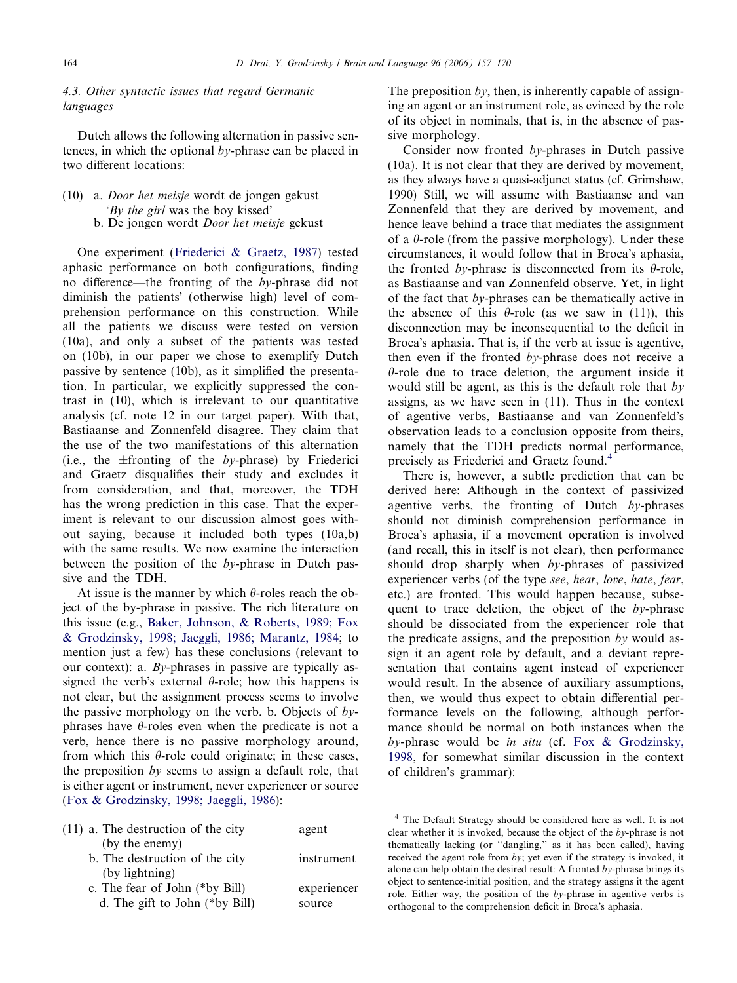# 4.3. Other syntactic issues that regard Germanic languages

Dutch allows the following alternation in passive sentences, in which the optional  $by$ -phrase can be placed in two different locations:

(10) a. Door het meisje wordt de jongen gekust 'By the girl was the boy kissed' b. De jongen wordt Door het meisje gekust

One experiment ([Friederici & Graetz, 1987\)](#page-12-0) tested aphasic performance on both configurations, finding no difference—the fronting of the by-phrase did not diminish the patients' (otherwise high) level of comprehension performance on this construction. While all the patients we discuss were tested on version (10a), and only a subset of the patients was tested on (10b), in our paper we chose to exemplify Dutch passive by sentence (10b), as it simplified the presentation. In particular, we explicitly suppressed the contrast in (10), which is irrelevant to our quantitative analysis (cf. note 12 in our target paper). With that, Bastiaanse and Zonnenfeld disagree. They claim that the use of the two manifestations of this alternation (i.e., the  $\pm$ fronting of the by-phrase) by Friederici and Graetz disqualifies their study and excludes it from consideration, and that, moreover, the TDH has the wrong prediction in this case. That the experiment is relevant to our discussion almost goes without saying, because it included both types (10a,b) with the same results. We now examine the interaction between the position of the by-phrase in Dutch passive and the TDH.

At issue is the manner by which  $\theta$ -roles reach the object of the by-phrase in passive. The rich literature on this issue (e.g., [Baker, Johnson, & Roberts, 1989; Fox](#page-12-0) [& Grodzinsky, 1998; Jaeggli, 1986; Marantz, 1984;](#page-12-0) to mention just a few) has these conclusions (relevant to our context): a. By-phrases in passive are typically assigned the verb's external  $\theta$ -role; how this happens is not clear, but the assignment process seems to involve the passive morphology on the verb. b. Objects of byphrases have  $\theta$ -roles even when the predicate is not a verb, hence there is no passive morphology around, from which this  $\theta$ -role could originate; in these cases, the preposition by seems to assign a default role, that is either agent or instrument, never experiencer or source ([Fox & Grodzinsky, 1998; Jaeggli, 1986\)](#page-12-0):

| $(11)$ a. The destruction of the city | agent       |
|---------------------------------------|-------------|
| (by the enemy)                        |             |
| b. The destruction of the city        | instrument  |
| (by lightning)                        |             |
| c. The fear of John (*by Bill)        | experiencer |
| d. The gift to John (*by Bill)        | source      |

The preposition  $by$ , then, is inherently capable of assigning an agent or an instrument role, as evinced by the role of its object in nominals, that is, in the absence of passive morphology.

Consider now fronted by-phrases in Dutch passive (10a). It is not clear that they are derived by movement, as they always have a quasi-adjunct status (cf. Grimshaw, 1990) Still, we will assume with Bastiaanse and van Zonnenfeld that they are derived by movement, and hence leave behind a trace that mediates the assignment of a  $\theta$ -role (from the passive morphology). Under these circumstances, it would follow that in Broca's aphasia, the fronted by-phrase is disconnected from its  $\theta$ -role, as Bastiaanse and van Zonnenfeld observe. Yet, in light of the fact that by-phrases can be thematically active in the absence of this  $\theta$ -role (as we saw in (11)), this disconnection may be inconsequential to the deficit in Broca's aphasia. That is, if the verb at issue is agentive, then even if the fronted  $by$ -phrase does not receive a  $\theta$ -role due to trace deletion, the argument inside it would still be agent, as this is the default role that  $by$ assigns, as we have seen in (11). Thus in the context of agentive verbs, Bastiaanse and van Zonnenfeld's observation leads to a conclusion opposite from theirs, namely that the TDH predicts normal performance, precisely as Friederici and Graetz found.<sup>4</sup>

There is, however, a subtle prediction that can be derived here: Although in the context of passivized agentive verbs, the fronting of Dutch by-phrases should not diminish comprehension performance in Broca's aphasia, if a movement operation is involved (and recall, this in itself is not clear), then performance should drop sharply when by-phrases of passivized experiencer verbs (of the type see, hear, love, hate, fear, etc.) are fronted. This would happen because, subsequent to trace deletion, the object of the  $by$ -phrase should be dissociated from the experiencer role that the predicate assigns, and the preposition  $by$  would assign it an agent role by default, and a deviant representation that contains agent instead of experiencer would result. In the absence of auxiliary assumptions, then, we would thus expect to obtain differential performance levels on the following, although performance should be normal on both instances when the by-phrase would be in situ (cf. Fox  $\&$  Grodzinsky, [1998,](#page-12-0) for somewhat similar discussion in the context of children's grammar):

<sup>4</sup> The Default Strategy should be considered here as well. It is not clear whether it is invoked, because the object of the  $bv$ -phrase is not thematically lacking (or ''dangling,'' as it has been called), having received the agent role from by; yet even if the strategy is invoked, it alone can help obtain the desired result: A fronted  $by$ -phrase brings its object to sentence-initial position, and the strategy assigns it the agent role. Either way, the position of the  $by$ -phrase in agentive verbs is orthogonal to the comprehension deficit in Broca's aphasia.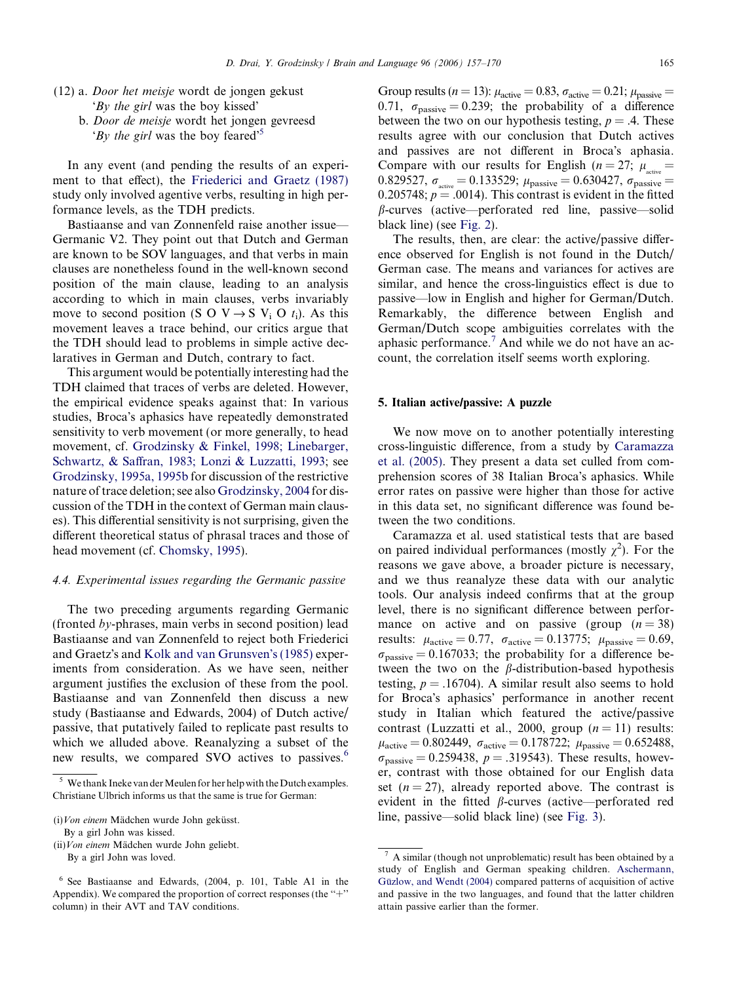- <span id="page-8-0"></span>(12) a. Door het meisje wordt de jongen gekust 'By the girl was the boy kissed'
	- b. Door de meisje wordt het jongen gevreesd 'By the girl was the boy feared'<sup>5</sup>

In any event (and pending the results of an experiment to that effect), the [Friederici and Graetz \(1987\)](#page-12-0) study only involved agentive verbs, resulting in high performance levels, as the TDH predicts.

Bastiaanse and van Zonnenfeld raise another issue— Germanic V2. They point out that Dutch and German are known to be SOV languages, and that verbs in main clauses are nonetheless found in the well-known second position of the main clause, leading to an analysis according to which in main clauses, verbs invariably move to second position (S O V  $\rightarrow$  S V<sub>i</sub> O t<sub>i</sub>). As this movement leaves a trace behind, our critics argue that the TDH should lead to problems in simple active declaratives in German and Dutch, contrary to fact.

This argument would be potentially interesting had the TDH claimed that traces of verbs are deleted. However, the empirical evidence speaks against that: In various studies, Broca's aphasics have repeatedly demonstrated sensitivity to verb movement (or more generally, to head movement, cf. [Grodzinsky & Finkel, 1998; Linebarger,](#page-12-0) [Schwartz, & Saffran, 1983; Lonzi & Luzzatti, 1993;](#page-12-0) see [Grodzinsky, 1995a, 1995b](#page-12-0) for discussion of the restrictive nature of trace deletion; see also [Grodzinsky, 2004](#page-12-0) for discussion of the TDH in the context of German main clauses). This differential sensitivity is not surprising, given the different theoretical status of phrasal traces and those of head movement (cf. [Chomsky, 1995\)](#page-12-0).

## 4.4. Experimental issues regarding the Germanic passive

The two preceding arguments regarding Germanic (fronted  $bv$ -phrases, main verbs in second position) lead Bastiaanse and van Zonnenfeld to reject both Friederici and Graetz's and [Kolk and van Grunsven](#page-12-0)'s (1985) experiments from consideration. As we have seen, neither argument justifies the exclusion of these from the pool. Bastiaanse and van Zonnenfeld then discuss a new study (Bastiaanse and Edwards, 2004) of Dutch active/ passive, that putatively failed to replicate past results to which we alluded above. Reanalyzing a subset of the new results, we compared SVO actives to passives.<sup>6</sup> Group results ( $n = 13$ ):  $\mu_{\text{active}} = 0.83$ ,  $\sigma_{\text{active}} = 0.21$ ;  $\mu_{\text{passive}} =$ 0.71,  $\sigma_{\text{passive}} = 0.239$ ; the probability of a difference between the two on our hypothesis testing,  $p = .4$ . These results agree with our conclusion that Dutch actives and passives are not different in Broca's aphasia. Compare with our results for English ( $n = 27$ ;  $\mu_{\text{active}} =$ 0.829527,  $\sigma_{\text{active}} = 0.133529$ ;  $\mu_{\text{passive}} = 0.630427$ ,  $\sigma_{\text{passive}} =$ 0.205748;  $p = .0014$ ). This contrast is evident in the fitted  $\beta$ -curves (active—perforated red line, passive—solid black line) (see [Fig. 2\)](#page-9-0).

The results, then, are clear: the active/passive difference observed for English is not found in the Dutch/ German case. The means and variances for actives are similar, and hence the cross-linguistics effect is due to passive—low in English and higher for German/Dutch. Remarkably, the difference between English and German/Dutch scope ambiguities correlates with the aphasic performance.<sup>7</sup> And while we do not have an account, the correlation itself seems worth exploring.

## 5. Italian active/passive: A puzzle

We now move on to another potentially interesting cross-linguistic difference, from a study by [Caramazza](#page-12-0) [et al. \(2005\).](#page-12-0) They present a data set culled from comprehension scores of 38 Italian Broca's aphasics. While error rates on passive were higher than those for active in this data set, no significant difference was found between the two conditions.

Caramazza et al. used statistical tests that are based on paired individual performances (mostly  $\chi^2$ ). For the reasons we gave above, a broader picture is necessary, and we thus reanalyze these data with our analytic tools. Our analysis indeed confirms that at the group level, there is no significant difference between performance on active and on passive (group  $(n = 38)$ ) results:  $\mu_{\text{active}} = 0.77$ ,  $\sigma_{\text{active}} = 0.13775$ ;  $\mu_{\text{passive}} = 0.69$ ,  $\sigma_{\text{passive}} = 0.167033$ ; the probability for a difference between the two on the  $\beta$ -distribution-based hypothesis testing,  $p = .16704$ . A similar result also seems to hold for Broca's aphasics' performance in another recent study in Italian which featured the active/passive contrast (Luzzatti et al., 2000, group  $(n = 11)$  results:  $\mu_{\text{active}} = 0.802449, \ \sigma_{\text{active}} = 0.178722; \ \mu_{\text{passive}} = 0.652488,$  $\sigma_{\text{passive}} = 0.259438$ ,  $p = .319543$ ). These results, however, contrast with those obtained for our English data set  $(n = 27)$ , already reported above. The contrast is evident in the fitted  $\beta$ -curves (active—perforated red line, passive—solid black line) (see [Fig. 3\)](#page-9-0).

 $5\,$  We thank Ineke van der Meulen for her help with the Dutch examples. Christiane Ulbrich informs us that the same is true for German:

 $(i)$ Von einem Mädchen wurde John geküsst.

By a girl John was kissed. (ii) Von einem Mädchen wurde John geliebt.

By a girl John was loved.

<sup>6</sup> See Bastiaanse and Edwards, (2004, p. 101, Table A1 in the Appendix). We compared the proportion of correct responses (the  $+$ " column) in their AVT and TAV conditions.

 $7 A$  similar (though not unproblematic) result has been obtained by a study of English and German speaking children. [Aschermann,](#page-12-0) Güzlow, and Wendt (2004) compared patterns of acquisition of active and passive in the two languages, and found that the latter children attain passive earlier than the former.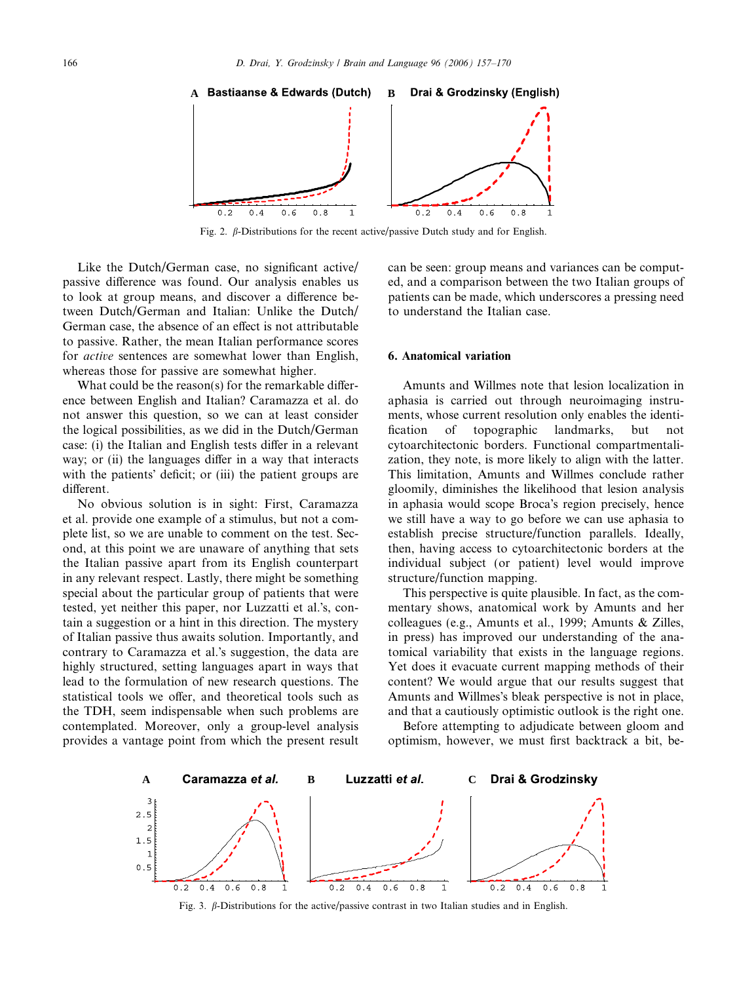<span id="page-9-0"></span>

Fig. 2.  $\beta$ -Distributions for the recent active/passive Dutch study and for English.

Like the Dutch/German case, no significant active/ passive difference was found. Our analysis enables us to look at group means, and discover a difference between Dutch/German and Italian: Unlike the Dutch/ German case, the absence of an effect is not attributable to passive. Rather, the mean Italian performance scores for active sentences are somewhat lower than English, whereas those for passive are somewhat higher.

What could be the reason(s) for the remarkable difference between English and Italian? Caramazza et al. do not answer this question, so we can at least consider the logical possibilities, as we did in the Dutch/German case: (i) the Italian and English tests differ in a relevant way; or (ii) the languages differ in a way that interacts with the patients' deficit; or (iii) the patient groups are different.

No obvious solution is in sight: First, Caramazza et al. provide one example of a stimulus, but not a complete list, so we are unable to comment on the test. Second, at this point we are unaware of anything that sets the Italian passive apart from its English counterpart in any relevant respect. Lastly, there might be something special about the particular group of patients that were tested, yet neither this paper, nor Luzzatti et al.'s, contain a suggestion or a hint in this direction. The mystery of Italian passive thus awaits solution. Importantly, and contrary to Caramazza et al.'s suggestion, the data are highly structured, setting languages apart in ways that lead to the formulation of new research questions. The statistical tools we offer, and theoretical tools such as the TDH, seem indispensable when such problems are contemplated. Moreover, only a group-level analysis provides a vantage point from which the present result can be seen: group means and variances can be computed, and a comparison between the two Italian groups of patients can be made, which underscores a pressing need to understand the Italian case.

## 6. Anatomical variation

Amunts and Willmes note that lesion localization in aphasia is carried out through neuroimaging instruments, whose current resolution only enables the identification of topographic landmarks, but not cytoarchitectonic borders. Functional compartmentalization, they note, is more likely to align with the latter. This limitation, Amunts and Willmes conclude rather gloomily, diminishes the likelihood that lesion analysis in aphasia would scope Broca's region precisely, hence we still have a way to go before we can use aphasia to establish precise structure/function parallels. Ideally, then, having access to cytoarchitectonic borders at the individual subject (or patient) level would improve structure/function mapping.

This perspective is quite plausible. In fact, as the commentary shows, anatomical work by Amunts and her colleagues (e.g., Amunts et al., 1999; Amunts & Zilles, in press) has improved our understanding of the anatomical variability that exists in the language regions. Yet does it evacuate current mapping methods of their content? We would argue that our results suggest that Amunts and Willmes's bleak perspective is not in place, and that a cautiously optimistic outlook is the right one.

Before attempting to adjudicate between gloom and optimism, however, we must first backtrack a bit, be-



Fig. 3.  $\beta$ -Distributions for the active/passive contrast in two Italian studies and in English.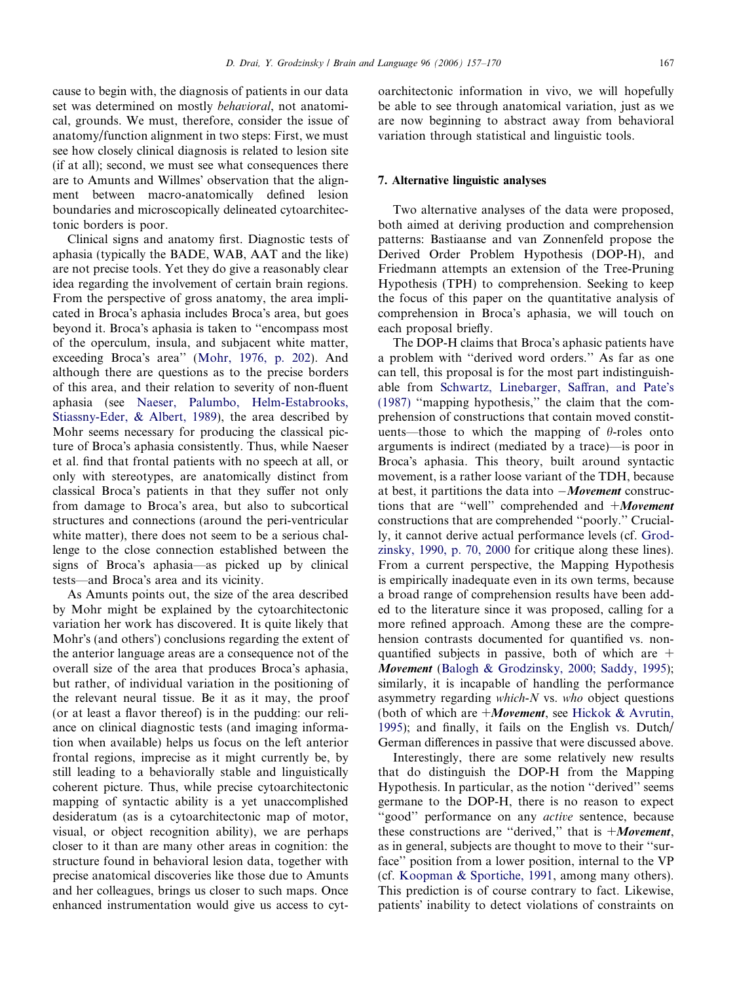<span id="page-10-0"></span>cause to begin with, the diagnosis of patients in our data set was determined on mostly behavioral, not anatomical, grounds. We must, therefore, consider the issue of anatomy/function alignment in two steps: First, we must see how closely clinical diagnosis is related to lesion site (if at all); second, we must see what consequences there are to Amunts and Willmes' observation that the alignment between macro-anatomically defined lesion boundaries and microscopically delineated cytoarchitectonic borders is poor.

Clinical signs and anatomy first. Diagnostic tests of aphasia (typically the BADE, WAB, AAT and the like) are not precise tools. Yet they do give a reasonably clear idea regarding the involvement of certain brain regions. From the perspective of gross anatomy, the area implicated in Broca's aphasia includes Broca's area, but goes beyond it. Broca's aphasia is taken to "encompass most of the operculum, insula, and subjacent white matter, exceeding Broca's area'' ([Mohr, 1976, p. 202\)](#page-12-0). And although there are questions as to the precise borders of this area, and their relation to severity of non-fluent aphasia (see [Naeser, Palumbo, Helm-Estabrooks,](#page-12-0) [Stiassny-Eder, & Albert, 1989](#page-12-0)), the area described by Mohr seems necessary for producing the classical picture of Broca's aphasia consistently. Thus, while Naeser et al. find that frontal patients with no speech at all, or only with stereotypes, are anatomically distinct from classical Broca's patients in that they suffer not only from damage to Broca's area, but also to subcortical structures and connections (around the peri-ventricular white matter), there does not seem to be a serious challenge to the close connection established between the signs of Broca's aphasia—as picked up by clinical tests—and Broca's area and its vicinity.

As Amunts points out, the size of the area described by Mohr might be explained by the cytoarchitectonic variation her work has discovered. It is quite likely that Mohr's (and others') conclusions regarding the extent of the anterior language areas are a consequence not of the overall size of the area that produces Broca's aphasia, but rather, of individual variation in the positioning of the relevant neural tissue. Be it as it may, the proof (or at least a flavor thereof) is in the pudding: our reliance on clinical diagnostic tests (and imaging information when available) helps us focus on the left anterior frontal regions, imprecise as it might currently be, by still leading to a behaviorally stable and linguistically coherent picture. Thus, while precise cytoarchitectonic mapping of syntactic ability is a yet unaccomplished desideratum (as is a cytoarchitectonic map of motor, visual, or object recognition ability), we are perhaps closer to it than are many other areas in cognition: the structure found in behavioral lesion data, together with precise anatomical discoveries like those due to Amunts and her colleagues, brings us closer to such maps. Once enhanced instrumentation would give us access to cytoarchitectonic information in vivo, we will hopefully be able to see through anatomical variation, just as we are now beginning to abstract away from behavioral variation through statistical and linguistic tools.

# 7. Alternative linguistic analyses

Two alternative analyses of the data were proposed, both aimed at deriving production and comprehension patterns: Bastiaanse and van Zonnenfeld propose the Derived Order Problem Hypothesis (DOP-H), and Friedmann attempts an extension of the Tree-Pruning Hypothesis (TPH) to comprehension. Seeking to keep the focus of this paper on the quantitative analysis of comprehension in Broca's aphasia, we will touch on each proposal briefly.

The DOP-H claims that Broca's aphasic patients have a problem with ''derived word orders.'' As far as one can tell, this proposal is for the most part indistinguish-able from [Schwartz, Linebarger, Saffran, and Pate](#page-13-0)'s [\(1987\)](#page-13-0) ''mapping hypothesis,'' the claim that the comprehension of constructions that contain moved constituents—those to which the mapping of  $\theta$ -roles onto arguments is indirect (mediated by a trace)—is poor in Broca's aphasia. This theory, built around syntactic movement, is a rather loose variant of the TDH, because at best, it partitions the data into  $-Movement$  constructions that are "well" comprehended and  $+Movement$ constructions that are comprehended ''poorly.'' Crucially, it cannot derive actual performance levels (cf. [Grod](#page-12-0)[zinsky, 1990, p. 70, 2000](#page-12-0) for critique along these lines). From a current perspective, the Mapping Hypothesis is empirically inadequate even in its own terms, because a broad range of comprehension results have been added to the literature since it was proposed, calling for a more refined approach. Among these are the comprehension contrasts documented for quantified vs. nonquantified subjects in passive, both of which are + Movement ([Balogh & Grodzinsky, 2000; Saddy, 1995\)](#page-12-0); similarly, it is incapable of handling the performance asymmetry regarding which-N vs. who object questions (both of which are  $+Movement$ , see [Hickok & Avrutin,](#page-12-0) [1995](#page-12-0)); and finally, it fails on the English vs. Dutch/ German differences in passive that were discussed above.

Interestingly, there are some relatively new results that do distinguish the DOP-H from the Mapping Hypothesis. In particular, as the notion ''derived'' seems germane to the DOP-H, there is no reason to expect "good" performance on any *active* sentence, because these constructions are "derived," that is  $+Momentum$ , as in general, subjects are thought to move to their ''surface'' position from a lower position, internal to the VP (cf. [Koopman & Sportiche, 1991,](#page-12-0) among many others). This prediction is of course contrary to fact. Likewise, patients' inability to detect violations of constraints on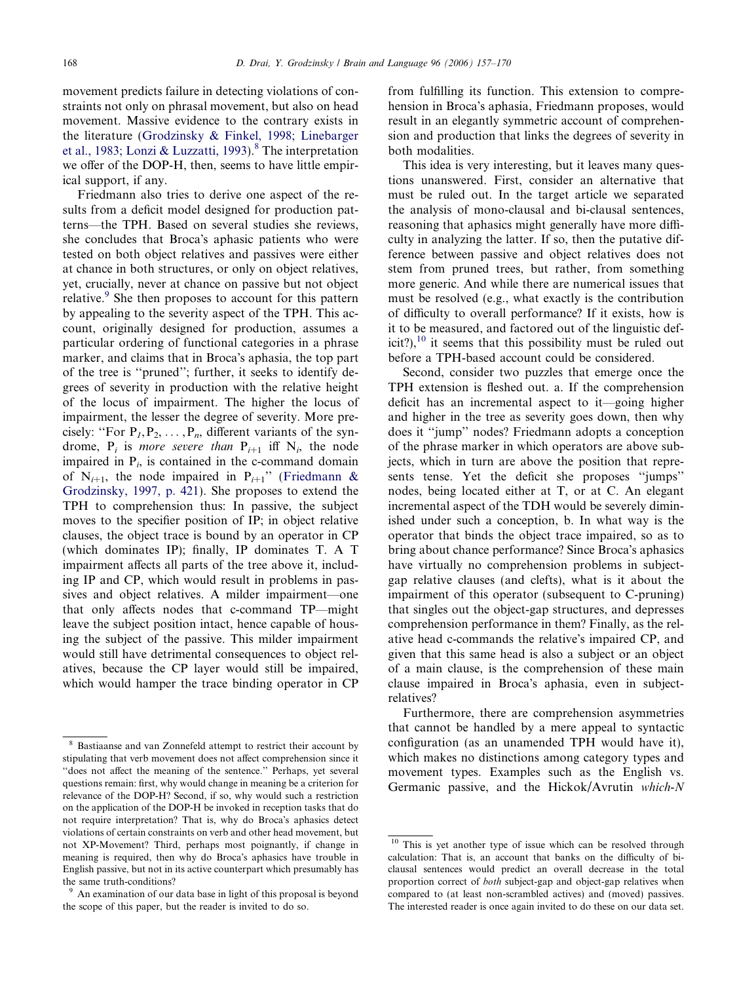movement predicts failure in detecting violations of constraints not only on phrasal movement, but also on head movement. Massive evidence to the contrary exists in the literature ([Grodzinsky & Finkel, 1998; Linebarger](#page-12-0) [et al., 1983; Lonzi & Luzzatti, 1993\)](#page-12-0).<sup>8</sup> The interpretation we offer of the DOP-H, then, seems to have little empirical support, if any.

Friedmann also tries to derive one aspect of the results from a deficit model designed for production patterns—the TPH. Based on several studies she reviews, she concludes that Broca's aphasic patients who were tested on both object relatives and passives were either at chance in both structures, or only on object relatives, yet, crucially, never at chance on passive but not object relative.<sup>9</sup> She then proposes to account for this pattern by appealing to the severity aspect of the TPH. This account, originally designed for production, assumes a particular ordering of functional categories in a phrase marker, and claims that in Broca's aphasia, the top part of the tree is ''pruned''; further, it seeks to identify degrees of severity in production with the relative height of the locus of impairment. The higher the locus of impairment, the lesser the degree of severity. More precisely: "For  $P_1, P_2, \ldots, P_n$ , different variants of the syndrome,  $P_i$  is *more severe than*  $P_{i+1}$  iff  $N_i$ , the node impaired in  $P_i$ , is contained in the c-command domain of N<sub>i+1</sub>, the node impaired in P<sub>i+1</sub>" ([Friedmann &](#page-12-0) [Grodzinsky, 1997, p. 421\)](#page-12-0). She proposes to extend the TPH to comprehension thus: In passive, the subject moves to the specifier position of IP; in object relative clauses, the object trace is bound by an operator in CP (which dominates IP); finally, IP dominates T. A T impairment affects all parts of the tree above it, including IP and CP, which would result in problems in passives and object relatives. A milder impairment—one that only affects nodes that c-command TP—might leave the subject position intact, hence capable of housing the subject of the passive. This milder impairment would still have detrimental consequences to object relatives, because the CP layer would still be impaired, which would hamper the trace binding operator in CP from fulfilling its function. This extension to comprehension in Broca's aphasia, Friedmann proposes, would result in an elegantly symmetric account of comprehension and production that links the degrees of severity in both modalities.

This idea is very interesting, but it leaves many questions unanswered. First, consider an alternative that must be ruled out. In the target article we separated the analysis of mono-clausal and bi-clausal sentences, reasoning that aphasics might generally have more difficulty in analyzing the latter. If so, then the putative difference between passive and object relatives does not stem from pruned trees, but rather, from something more generic. And while there are numerical issues that must be resolved (e.g., what exactly is the contribution of difficulty to overall performance? If it exists, how is it to be measured, and factored out of the linguistic deficit?), $^{10}$  it seems that this possibility must be ruled out before a TPH-based account could be considered.

Second, consider two puzzles that emerge once the TPH extension is fleshed out. a. If the comprehension deficit has an incremental aspect to it—going higher and higher in the tree as severity goes down, then why does it ''jump'' nodes? Friedmann adopts a conception of the phrase marker in which operators are above subjects, which in turn are above the position that represents tense. Yet the deficit she proposes ''jumps'' nodes, being located either at T, or at C. An elegant incremental aspect of the TDH would be severely diminished under such a conception, b. In what way is the operator that binds the object trace impaired, so as to bring about chance performance? Since Broca's aphasics have virtually no comprehension problems in subjectgap relative clauses (and clefts), what is it about the impairment of this operator (subsequent to C-pruning) that singles out the object-gap structures, and depresses comprehension performance in them? Finally, as the relative head c-commands the relative's impaired CP, and given that this same head is also a subject or an object of a main clause, is the comprehension of these main clause impaired in Broca's aphasia, even in subjectrelatives?

Furthermore, there are comprehension asymmetries that cannot be handled by a mere appeal to syntactic configuration (as an unamended TPH would have it), which makes no distinctions among category types and movement types. Examples such as the English vs. Germanic passive, and the Hickok/Avrutin which-N

Bastiaanse and van Zonnefeld attempt to restrict their account by stipulating that verb movement does not affect comprehension since it ''does not affect the meaning of the sentence.'' Perhaps, yet several questions remain: first, why would change in meaning be a criterion for relevance of the DOP-H? Second, if so, why would such a restriction on the application of the DOP-H be invoked in reception tasks that do not require interpretation? That is, why do Broca's aphasics detect violations of certain constraints on verb and other head movement, but not XP-Movement? Third, perhaps most poignantly, if change in meaning is required, then why do Broca's aphasics have trouble in English passive, but not in its active counterpart which presumably has the same truth-conditions?

An examination of our data base in light of this proposal is beyond the scope of this paper, but the reader is invited to do so.

<sup>10</sup> This is yet another type of issue which can be resolved through calculation: That is, an account that banks on the difficulty of biclausal sentences would predict an overall decrease in the total proportion correct of both subject-gap and object-gap relatives when compared to (at least non-scrambled actives) and (moved) passives. The interested reader is once again invited to do these on our data set.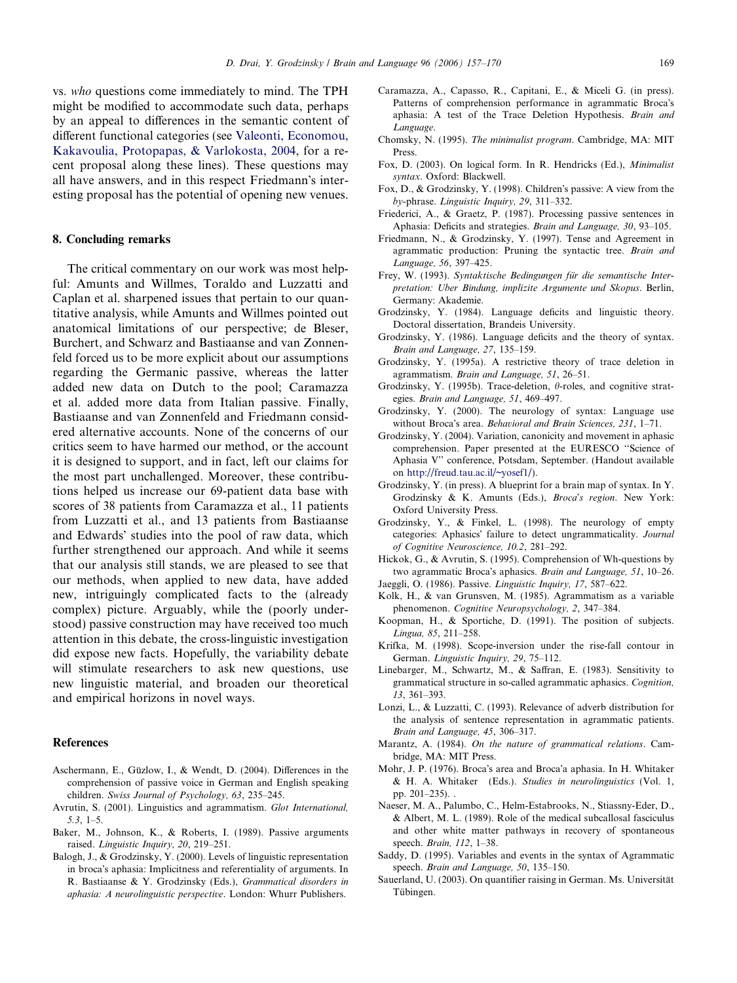<span id="page-12-0"></span>vs. who questions come immediately to mind. The TPH might be modified to accommodate such data, perhaps by an appeal to differences in the semantic content of different functional categories (see [Valeonti, Economou,](#page-13-0) [Kakavoulia, Protopapas, & Varlokosta, 2004](#page-13-0), for a recent proposal along these lines). These questions may all have answers, and in this respect Friedmann's interesting proposal has the potential of opening new venues.

## 8. Concluding remarks

The critical commentary on our work was most helpful: Amunts and Willmes, Toraldo and Luzzatti and Caplan et al. sharpened issues that pertain to our quantitative analysis, while Amunts and Willmes pointed out anatomical limitations of our perspective; de Bleser, Burchert, and Schwarz and Bastiaanse and van Zonnenfeld forced us to be more explicit about our assumptions regarding the Germanic passive, whereas the latter added new data on Dutch to the pool; Caramazza et al. added more data from Italian passive. Finally, Bastiaanse and van Zonnenfeld and Friedmann considered alternative accounts. None of the concerns of our critics seem to have harmed our method, or the account it is designed to support, and in fact, left our claims for the most part unchallenged. Moreover, these contributions helped us increase our 69-patient data base with scores of 38 patients from Caramazza et al., 11 patients from Luzzatti et al., and 13 patients from Bastiaanse and Edwards' studies into the pool of raw data, which further strengthened our approach. And while it seems that our analysis still stands, we are pleased to see that our methods, when applied to new data, have added new, intriguingly complicated facts to the (already complex) picture. Arguably, while the (poorly understood) passive construction may have received too much attention in this debate, the cross-linguistic investigation did expose new facts. Hopefully, the variability debate will stimulate researchers to ask new questions, use new linguistic material, and broaden our theoretical and empirical horizons in novel ways.

#### References

- Aschermann, E., Güzlow, I., & Wendt, D. (2004). Differences in the comprehension of passive voice in German and English speaking children. Swiss Journal of Psychology, 63, 235–245.
- Avrutin, S. (2001). Linguistics and agrammatism. Glot International, 5.3, 1–5.
- Baker, M., Johnson, K., & Roberts, I. (1989). Passive arguments raised. Linguistic Inquiry, 20, 219–251.
- Balogh, J., & Grodzinsky, Y. (2000). Levels of linguistic representation in broca's aphasia: Implicitness and referentiality of arguments. In R. Bastiaanse & Y. Grodzinsky (Eds.), Grammatical disorders in aphasia: A neurolinguistic perspective. London: Whurr Publishers.
- Caramazza, A., Capasso, R., Capitani, E., & Miceli G. (in press). Patterns of comprehension performance in agrammatic Broca's aphasia: A test of the Trace Deletion Hypothesis. Brain and Language.
- Chomsky, N. (1995). The minimalist program. Cambridge, MA: MIT Press.
- Fox, D. (2003). On logical form. In R. Hendricks (Ed.), Minimalist syntax. Oxford: Blackwell.
- Fox, D., & Grodzinsky, Y. (1998). Children's passive: A view from the by-phrase. Linguistic Inquiry, 29, 311–332.
- Friederici, A., & Graetz, P. (1987). Processing passive sentences in Aphasia: Deficits and strategies. Brain and Language, 30, 93–105.
- Friedmann, N., & Grodzinsky, Y. (1997). Tense and Agreement in agrammatic production: Pruning the syntactic tree. Brain and Language, 56, 397–425.
- Frey, W. (1993). Syntaktische Bedingungen für die semantische Interpretation: Uber Bindung, implizite Argumente und Skopus. Berlin, Germany: Akademie.
- Grodzinsky, Y. (1984). Language deficits and linguistic theory. Doctoral dissertation, Brandeis University.
- Grodzinsky, Y. (1986). Language deficits and the theory of syntax. Brain and Language, 27, 135–159.
- Grodzinsky, Y. (1995a). A restrictive theory of trace deletion in agrammatism. Brain and Language, 51, 26–51.
- Grodzinsky, Y. (1995b). Trace-deletion,  $\theta$ -roles, and cognitive strategies. Brain and Language, 51, 469–497.
- Grodzinsky, Y. (2000). The neurology of syntax: Language use without Broca's area. Behavioral and Brain Sciences, 231, 1-71.
- Grodzinsky, Y. (2004). Variation, canonicity and movement in aphasic comprehension. Paper presented at the EURESCO ''Science of Aphasia V'' conference, Potsdam, September. (Handout available on [http://freud.tau.ac.il/~yosef1/\)](http://freud.tau.ac.il/~yosef1/).
- Grodzinsky, Y. (in press). A blueprint for a brain map of syntax. In Y. Grodzinsky & K. Amunts (Eds.), Broca's region. New York: Oxford University Press.
- Grodzinsky, Y., & Finkel, L. (1998). The neurology of empty categories: Aphasics' failure to detect ungrammaticality. Journal of Cognitive Neuroscience, 10.2, 281–292.
- Hickok, G., & Avrutin, S. (1995). Comprehension of Wh-questions by two agrammatic Broca's aphasics. Brain and Language, 51, 10-26. Jaeggli, O. (1986). Passive. Linguistic Inquiry, 17, 587–622.
- Kolk, H., & van Grunsven, M. (1985). Agrammatism as a variable phenomenon. Cognitive Neuropsychology, 2, 347–384.
- Koopman, H., & Sportiche, D. (1991). The position of subjects. Lingua, 85, 211–258.
- Krifka, M. (1998). Scope-inversion under the rise-fall contour in German. Linguistic Inquiry, 29, 75–112.
- Linebarger, M., Schwartz, M., & Saffran, E. (1983). Sensitivity to grammatical structure in so-called agrammatic aphasics. Cognition, 13, 361–393.
- Lonzi, L., & Luzzatti, C. (1993). Relevance of adverb distribution for the analysis of sentence representation in agrammatic patients. Brain and Language, 45, 306–317.
- Marantz, A. (1984). On the nature of grammatical relations. Cambridge, MA: MIT Press.
- Mohr, J. P. (1976). Broca's area and Broca'a aphasia. In H. Whitaker & H. A. Whitaker (Eds.). Studies in neurolinguistics (Vol. 1, pp. 201–235). .
- Naeser, M. A., Palumbo, C., Helm-Estabrooks, N., Stiassny-Eder, D., & Albert, M. L. (1989). Role of the medical subcallosal fasciculus and other white matter pathways in recovery of spontaneous speech. Brain, 112, 1–38.
- Saddy, D. (1995). Variables and events in the syntax of Agrammatic speech. Brain and Language, 50, 135–150.
- Sauerland, U. (2003). On quantifier raising in German. Ms. Universität Tübingen.